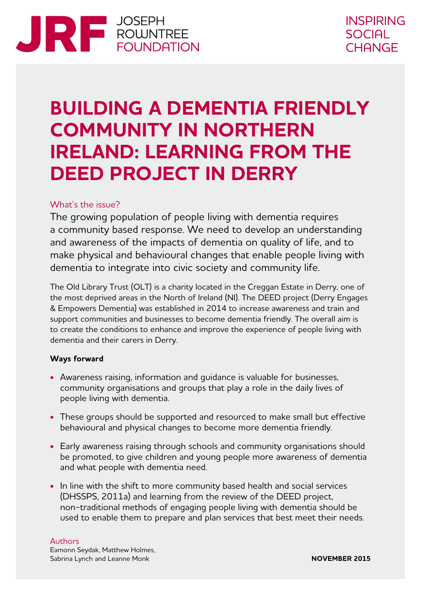# **ENTERNATION ROUNDATION**

# **BUILDING A DEMENTIA FRIENDLY COMMUNITY IN NORTHERN IRELAND: LEARNING FROM THE DEED PROJECT IN DERRY**

# What's the issue?

The growing population of people living with dementia requires a community based response. We need to develop an understanding and awareness of the impacts of dementia on quality of life, and to make physical and behavioural changes that enable people living with dementia to integrate into civic society and community life.

The Old Library Trust (OLT) is a charity located in the Creggan Estate in Derry, one of the most deprived areas in the North of Ireland (NI). The DEED project (Derry Engages & Empowers Dementia) was established in 2014 to increase awareness and train and support communities and businesses to become dementia friendly. The overall aim is to create the conditions to enhance and improve the experience of people living with dementia and their carers in Derry.

# **Ways forward**

- **•** Awareness raising, information and guidance is valuable for businesses, community organisations and groups that play a role in the daily lives of people living with dementia.
- **•** These groups should be supported and resourced to make small but effective behavioural and physical changes to become more dementia friendly.
- **•** Early awareness raising through schools and community organisations should be promoted, to give children and young people more awareness of dementia and what people with dementia need.
- **•** In line with the shift to more community based health and social services (DHSSPS, 2011a) and learning from the review of the DEED project, non‑traditional methods of engaging people living with dementia should be used to enable them to prepare and plan services that best meet their needs.

#### Authors

Eamonn Seydak, Matthew Holmes, Sabrina Lynch and Leanne Monk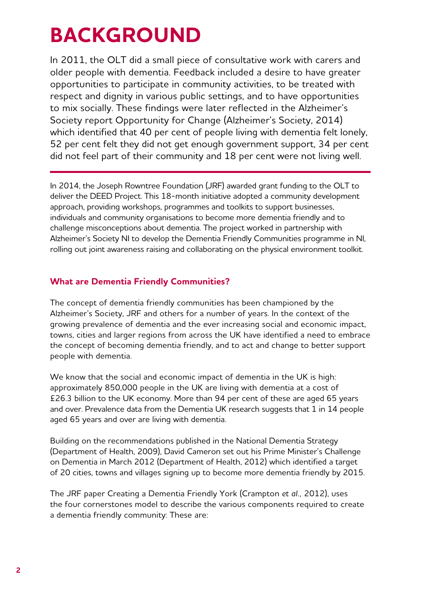# **BACKGROUND**

In 2011, the OLT did a small piece of consultative work with carers and older people with dementia. Feedback included a desire to have greater opportunities to participate in community activities, to be treated with respect and dignity in various public settings, and to have opportunities to mix socially. These findings were later reflected in the Alzheimer's Society report Opportunity for Change (Alzheimer's Society, 2014) which identified that 40 per cent of people living with dementia felt lonely, 52 per cent felt they did not get enough government support, 34 per cent did not feel part of their community and 18 per cent were not living well.

In 2014, the Joseph Rowntree Foundation (JRF) awarded grant funding to the OLT to deliver the DEED Project. This 18-month initiative adopted a community development approach, providing workshops, programmes and toolkits to support businesses, individuals and community organisations to become more dementia friendly and to challenge misconceptions about dementia. The project worked in partnership with Alzheimer's Society NI to develop the Dementia Friendly Communities programme in NI, rolling out joint awareness raising and collaborating on the physical environment toolkit.

# **What are Dementia Friendly Communities?**

The concept of dementia friendly communities has been championed by the Alzheimer's Society, JRF and others for a number of years. In the context of the growing prevalence of dementia and the ever increasing social and economic impact, towns, cities and larger regions from across the UK have identified a need to embrace the concept of becoming dementia friendly, and to act and change to better support people with dementia.

We know that the social and economic impact of dementia in the UK is high: approximately 850,000 people in the UK are living with dementia at a cost of £26.3 billion to the UK economy. More than 94 per cent of these are aged 65 years and over. Prevalence data from the Dementia UK research suggests that 1 in 14 people aged 65 years and over are living with dementia.

Building on the recommendations published in the National Dementia Strategy (Department of Health, 2009), David Cameron set out his Prime Minister's Challenge on Dementia in March 2012 (Department of Health, 2012) which identified a target of 20 cities, towns and villages signing up to become more dementia friendly by 2015.

The JRF paper Creating a Dementia Friendly York (Crampton *et al.,* 2012), uses the four cornerstones model to describe the various components required to create a dementia friendly community: These are: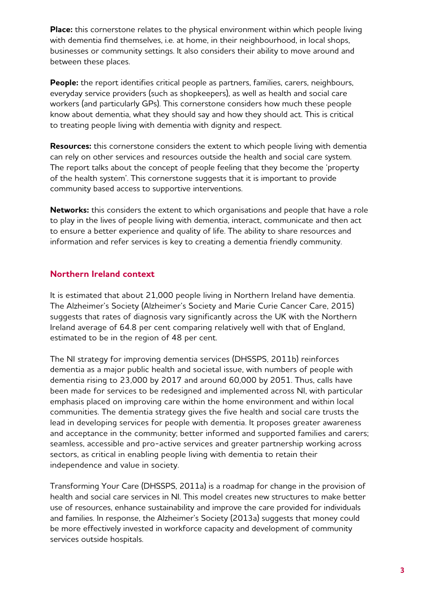**Place:** this cornerstone relates to the physical environment within which people living with dementia find themselves, i.e. at home, in their neighbourhood, in local shops, businesses or community settings. It also considers their ability to move around and between these places.

**People:** the report identifies critical people as partners, families, carers, neighbours, everyday service providers (such as shopkeepers), as well as health and social care workers (and particularly GPs). This cornerstone considers how much these people know about dementia, what they should say and how they should act. This is critical to treating people living with dementia with dignity and respect.

**Resources:** this cornerstone considers the extent to which people living with dementia can rely on other services and resources outside the health and social care system. The report talks about the concept of people feeling that they become the 'property of the health system'. This cornerstone suggests that it is important to provide community based access to supportive interventions.

**Networks:** this considers the extent to which organisations and people that have a role to play in the lives of people living with dementia, interact, communicate and then act to ensure a better experience and quality of life. The ability to share resources and information and refer services is key to creating a dementia friendly community.

# **Northern Ireland context**

It is estimated that about 21,000 people living in Northern Ireland have dementia. The Alzheimer's Society (Alzheimer's Society and Marie Curie Cancer Care, 2015) suggests that rates of diagnosis vary significantly across the UK with the Northern Ireland average of 64.8 per cent comparing relatively well with that of England, estimated to be in the region of 48 per cent.

The NI strategy for improving dementia services (DHSSPS, 2011b) reinforces dementia as a major public health and societal issue, with numbers of people with dementia rising to 23,000 by 2017 and around 60,000 by 2051. Thus, calls have been made for services to be redesigned and implemented across NI, with particular emphasis placed on improving care within the home environment and within local communities. The dementia strategy gives the five health and social care trusts the lead in developing services for people with dementia. It proposes greater awareness and acceptance in the community; better informed and supported families and carers; seamless, accessible and pro-active services and greater partnership working across sectors, as critical in enabling people living with dementia to retain their independence and value in society.

Transforming Your Care (DHSSPS, 2011a) is a roadmap for change in the provision of health and social care services in NI. This model creates new structures to make better use of resources, enhance sustainability and improve the care provided for individuals and families. In response, the Alzheimer's Society (2013a) suggests that money could be more effectively invested in workforce capacity and development of community services outside hospitals.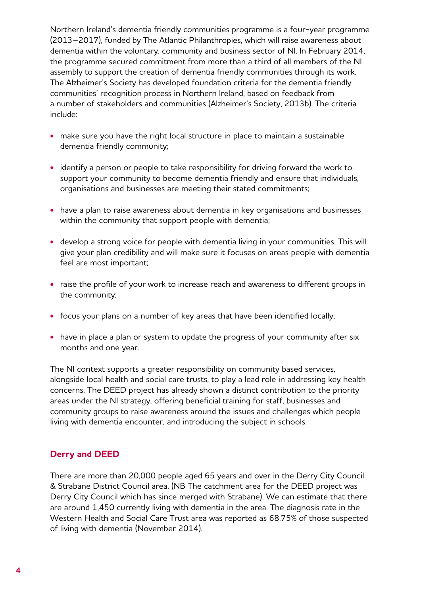Northern Ireland's dementia friendly communities programme is a four-year programme (2013–2017), funded by The Atlantic Philanthropies, which will raise awareness about dementia within the voluntary, community and business sector of NI. In February 2014, the programme secured commitment from more than a third of all members of the NI assembly to support the creation of dementia friendly communities through its work. The Alzheimer's Society has developed foundation criteria for the dementia friendly communities' recognition process in Northern Ireland, based on feedback from a number of stakeholders and communities (Alzheimer's Society, 2013b). The criteria include:

- **•** make sure you have the right local structure in place to maintain a sustainable dementia friendly community;
- **•** identify a person or people to take responsibility for driving forward the work to support your community to become dementia friendly and ensure that individuals, organisations and businesses are meeting their stated commitments;
- **•** have a plan to raise awareness about dementia in key organisations and businesses within the community that support people with dementia;
- **•** develop a strong voice for people with dementia living in your communities. This will give your plan credibility and will make sure it focuses on areas people with dementia feel are most important;
- **•** raise the profile of your work to increase reach and awareness to different groups in the community;
- **•** focus your plans on a number of key areas that have been identified locally;
- have in place a plan or system to update the progress of your community after six months and one year.

The NI context supports a greater responsibility on community based services, alongside local health and social care trusts, to play a lead role in addressing key health concerns. The DEED project has already shown a distinct contribution to the priority areas under the NI strategy, offering beneficial training for staff, businesses and community groups to raise awareness around the issues and challenges which people living with dementia encounter, and introducing the subject in schools.

# **Derry and DEED**

There are more than 20,000 people aged 65 years and over in the Derry City Council & Strabane District Council area. (NB The catchment area for the DEED project was Derry City Council which has since merged with Strabane). We can estimate that there are around 1,450 currently living with dementia in the area. The diagnosis rate in the Western Health and Social Care Trust area was reported as 68.75% of those suspected of living with dementia (November 2014).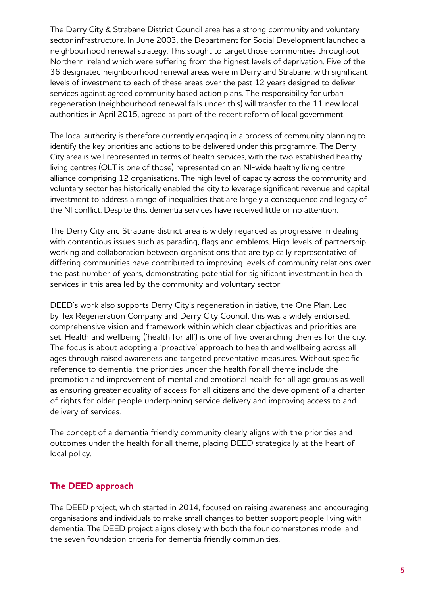The Derry City & Strabane District Council area has a strong community and voluntary sector infrastructure. In June 2003, the Department for Social Development launched a neighbourhood renewal strategy. This sought to target those communities throughout Northern Ireland which were suffering from the highest levels of deprivation. Five of the 36 designated neighbourhood renewal areas were in Derry and Strabane, with significant levels of investment to each of these areas over the past 12 years designed to deliver services against agreed community based action plans. The responsibility for urban regeneration (neighbourhood renewal falls under this) will transfer to the 11 new local authorities in April 2015, agreed as part of the recent reform of local government.

The local authority is therefore currently engaging in a process of community planning to identify the key priorities and actions to be delivered under this programme. The Derry City area is well represented in terms of health services, with the two established healthy living centres (OLT is one of those) represented on an NI-wide healthy living centre alliance comprising 12 organisations. The high level of capacity across the community and voluntary sector has historically enabled the city to leverage significant revenue and capital investment to address a range of inequalities that are largely a consequence and legacy of the NI conflict. Despite this, dementia services have received little or no attention.

The Derry City and Strabane district area is widely regarded as progressive in dealing with contentious issues such as parading, flags and emblems. High levels of partnership working and collaboration between organisations that are typically representative of differing communities have contributed to improving levels of community relations over the past number of years, demonstrating potential for significant investment in health services in this area led by the community and voluntary sector.

DEED's work also supports Derry City's regeneration initiative, the One Plan. Led by Ilex Regeneration Company and Derry City Council, this was a widely endorsed, comprehensive vision and framework within which clear objectives and priorities are set. Health and wellbeing ('health for all') is one of five overarching themes for the city. The focus is about adopting a 'proactive' approach to health and wellbeing across all ages through raised awareness and targeted preventative measures. Without specific reference to dementia, the priorities under the health for all theme include the promotion and improvement of mental and emotional health for all age groups as well as ensuring greater equality of access for all citizens and the development of a charter of rights for older people underpinning service delivery and improving access to and delivery of services.

The concept of a dementia friendly community clearly aligns with the priorities and outcomes under the health for all theme, placing DEED strategically at the heart of local policy.

# **The DEED approach**

The DEED project, which started in 2014, focused on raising awareness and encouraging organisations and individuals to make small changes to better support people living with dementia. The DEED project aligns closely with both the four cornerstones model and the seven foundation criteria for dementia friendly communities.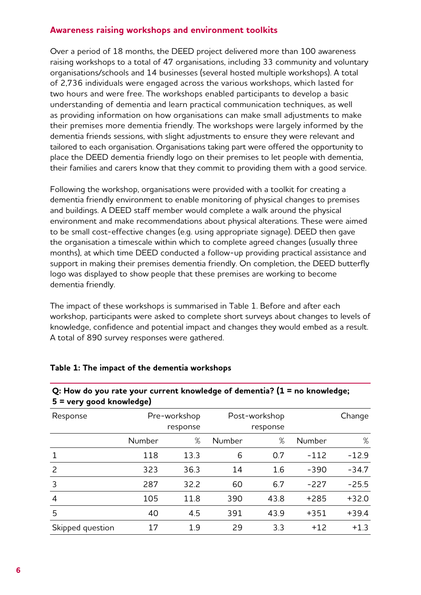# **Awareness raising workshops and environment toolkits**

Over a period of 18 months, the DEED project delivered more than 100 awareness raising workshops to a total of 47 organisations, including 33 community and voluntary organisations/schools and 14 businesses (several hosted multiple workshops). A total of 2,736 individuals were engaged across the various workshops, which lasted for two hours and were free. The workshops enabled participants to develop a basic understanding of dementia and learn practical communication techniques, as well as providing information on how organisations can make small adjustments to make their premises more dementia friendly. The workshops were largely informed by the dementia friends sessions, with slight adjustments to ensure they were relevant and tailored to each organisation. Organisations taking part were offered the opportunity to place the DEED dementia friendly logo on their premises to let people with dementia, their families and carers know that they commit to providing them with a good service.

Following the workshop, organisations were provided with a toolkit for creating a dementia friendly environment to enable monitoring of physical changes to premises and buildings. A DEED staff member would complete a walk around the physical environment and make recommendations about physical alterations. These were aimed to be small cost-effective changes (e.g. using appropriate signage). DEED then gave the organisation a timescale within which to complete agreed changes (usually three months), at which time DEED conducted a follow-up providing practical assistance and support in making their premises dementia friendly. On completion, the DEED butterfly logo was displayed to show people that these premises are working to become dementia friendly.

The impact of these workshops is summarised in Table 1. Before and after each workshop, participants were asked to complete short surveys about changes to levels of knowledge, confidence and potential impact and changes they would embed as a result. A total of 890 survey responses were gathered.

**Q: How do you rate your current knowledge of dementia? (1 = no knowledge;**

| 5 = very good knowledge) |              |      |               |      |        |         |  |  |  |  |
|--------------------------|--------------|------|---------------|------|--------|---------|--|--|--|--|
| Response                 | Pre-workshop |      | Post-workshop |      |        | Change  |  |  |  |  |
|                          | response     |      | response      |      |        |         |  |  |  |  |
|                          | Number       | %    | Number        | %    | Number | %       |  |  |  |  |
|                          | 118          | 13.3 | 6             | 0.7  | $-112$ | $-12.9$ |  |  |  |  |
| 2                        | 323          | 36.3 | 14            | 1.6  | $-390$ | $-34.7$ |  |  |  |  |
| 3                        | 287          | 32.2 | 60            | 6.7  | $-227$ | $-25.5$ |  |  |  |  |
| 4                        | 105          | 11.8 | 390           | 43.8 | $+285$ | $+32.0$ |  |  |  |  |
| 5                        | 40           | 4.5  | 391           | 43.9 | $+351$ | $+39.4$ |  |  |  |  |
| Skipped question         | 17           | 1.9  | 29            | 3.3  | $+12$  | $+1.3$  |  |  |  |  |

#### **Table 1: The impact of the dementia workshops**

#### **6**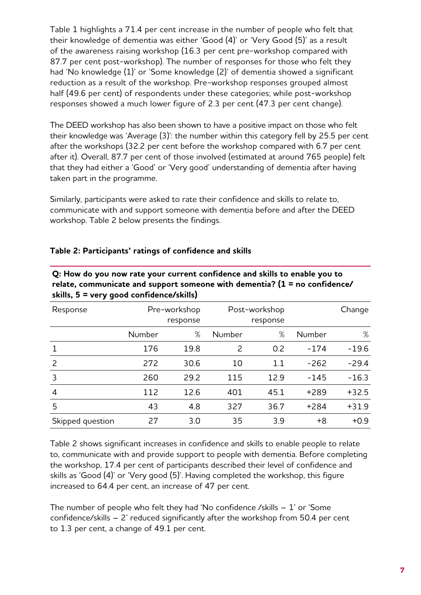Table 1 highlights a 71.4 per cent increase in the number of people who felt that their knowledge of dementia was either 'Good (4)' or 'Very Good (5)' as a result of the awareness raising workshop (16.3 per cent pre-workshop compared with 87.7 per cent post-workshop). The number of responses for those who felt they had 'No knowledge (1)' or 'Some knowledge (2)' of dementia showed a significant reduction as a result of the workshop. Pre-workshop responses grouped almost half (49.6 per cent) of respondents under these categories; while post-workshop responses showed a much lower figure of 2.3 per cent (47.3 per cent change).

The DEED workshop has also been shown to have a positive impact on those who felt their knowledge was 'Average (3)': the number within this category fell by 25.5 per cent after the workshops (32.2 per cent before the workshop compared with 6.7 per cent after it). Overall, 87.7 per cent of those involved (estimated at around 765 people) felt that they had either a 'Good' or 'Very good' understanding of dementia after having taken part in the programme.

Similarly, participants were asked to rate their confidence and skills to relate to, communicate with and support someone with dementia before and after the DEED workshop. Table 2 below presents the findings.

| Response         | Pre-workshop<br>response |      | Post-workshop<br>response |      |        | Change  |
|------------------|--------------------------|------|---------------------------|------|--------|---------|
|                  | Number                   | %    | Number                    | %    | Number | %       |
|                  | 176                      | 19.8 | 2                         | 0.2  | $-174$ | $-19.6$ |
| 2                | 272                      | 30.6 | 10                        | 1.1  | $-262$ | $-29.4$ |
| 3                | 260                      | 29.2 | 115                       | 12.9 | $-145$ | $-16.3$ |
| $\overline{4}$   | 112                      | 12.6 | 401                       | 45.1 | $+289$ | $+32.5$ |
| 5                | 43                       | 4.8  | 327                       | 36.7 | $+284$ | $+31.9$ |
| Skipped question | 27                       | 3.0  | 35                        | 3.9  | $+8$   | $+0.9$  |

# **Table 2: Participants' ratings of confidence and skills**

**Q: How do you now rate your current confidence and skills to enable you to relate, communicate and support someone with dementia? (1 = no confidence/ skills, 5 = very good confidence/skills)**

Table 2 shows significant increases in confidence and skills to enable people to relate to, communicate with and provide support to people with dementia. Before completing the workshop, 17.4 per cent of participants described their level of confidence and skills as 'Good (4)' or 'Very good (5)'. Having completed the workshop, this figure increased to 64.4 per cent, an increase of 47 per cent.

The number of people who felt they had 'No confidence /skills – 1' or 'Some confidence/skills – 2' reduced significantly after the workshop from 50.4 per cent to 1.3 per cent, a change of 49.1 per cent.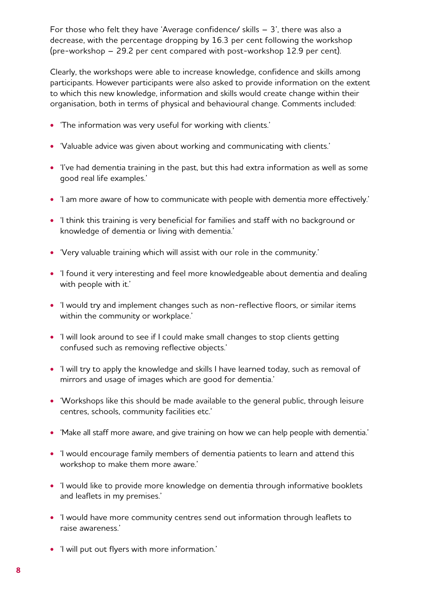For those who felt they have 'Average confidence/ skills – 3', there was also a decrease, with the percentage dropping by 16.3 per cent following the workshop (pre‑workshop – 29.2 per cent compared with post-workshop 12.9 per cent).

Clearly, the workshops were able to increase knowledge, confidence and skills among participants. However participants were also asked to provide information on the extent to which this new knowledge, information and skills would create change within their organisation, both in terms of physical and behavioural change. Comments included:

- **•** 'The information was very useful for working with clients.'
- **•** 'Valuable advice was given about working and communicating with clients.'
- **•** 'I've had dementia training in the past, but this had extra information as well as some good real life examples.'
- **•** 'I am more aware of how to communicate with people with dementia more effectively.'
- **•** 'I think this training is very beneficial for families and staff with no background or knowledge of dementia or living with dementia.'
- **•** 'Very valuable training which will assist with our role in the community.'
- **•** 'I found it very interesting and feel more knowledgeable about dementia and dealing with people with it.'
- **•** 'I would try and implement changes such as non-reflective floors, or similar items within the community or workplace.'
- **•** 'I will look around to see if I could make small changes to stop clients getting confused such as removing reflective objects.'
- **•** 'I will try to apply the knowledge and skills I have learned today, such as removal of mirrors and usage of images which are good for dementia.'
- **•** 'Workshops like this should be made available to the general public, through leisure centres, schools, community facilities etc.'
- **•** 'Make all staff more aware, and give training on how we can help people with dementia.'
- **•** 'I would encourage family members of dementia patients to learn and attend this workshop to make them more aware.'
- **•** 'I would like to provide more knowledge on dementia through informative booklets and leaflets in my premises.'
- **•** 'I would have more community centres send out information through leaflets to raise awareness.'
- **•** 'I will put out flyers with more information.'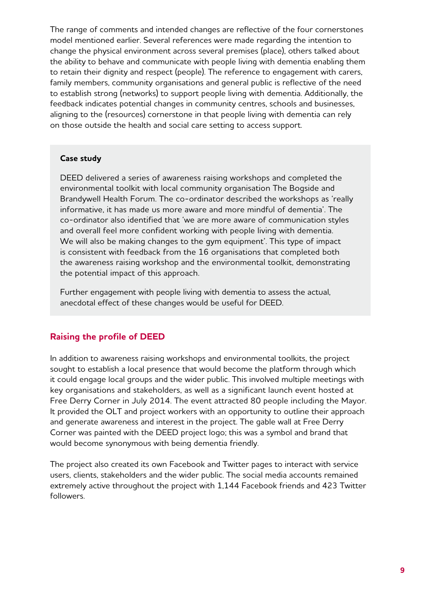The range of comments and intended changes are reflective of the four cornerstones model mentioned earlier. Several references were made regarding the intention to change the physical environment across several premises (place), others talked about the ability to behave and communicate with people living with dementia enabling them to retain their dignity and respect (people). The reference to engagement with carers, family members, community organisations and general public is reflective of the need to establish strong (networks) to support people living with dementia. Additionally, the feedback indicates potential changes in community centres, schools and businesses, aligning to the (resources) cornerstone in that people living with dementia can rely on those outside the health and social care setting to access support.

#### **Case study**

DEED delivered a series of awareness raising workshops and completed the environmental toolkit with local community organisation The Bogside and Brandywell Health Forum. The co-ordinator described the workshops as 'really informative, it has made us more aware and more mindful of dementia'. The co‑ordinator also identified that 'we are more aware of communication styles and overall feel more confident working with people living with dementia. We will also be making changes to the gym equipment'. This type of impact is consistent with feedback from the 16 organisations that completed both the awareness raising workshop and the environmental toolkit, demonstrating the potential impact of this approach.

Further engagement with people living with dementia to assess the actual, anecdotal effect of these changes would be useful for DEED.

# **Raising the profile of DEED**

In addition to awareness raising workshops and environmental toolkits, the project sought to establish a local presence that would become the platform through which it could engage local groups and the wider public. This involved multiple meetings with key organisations and stakeholders, as well as a significant launch event hosted at Free Derry Corner in July 2014. The event attracted 80 people including the Mayor. It provided the OLT and project workers with an opportunity to outline their approach and generate awareness and interest in the project. The gable wall at Free Derry Corner was painted with the DEED project logo; this was a symbol and brand that would become synonymous with being dementia friendly.

The project also created its own Facebook and Twitter pages to interact with service users, clients, stakeholders and the wider public. The social media accounts remained extremely active throughout the project with 1,144 Facebook friends and 423 Twitter followers.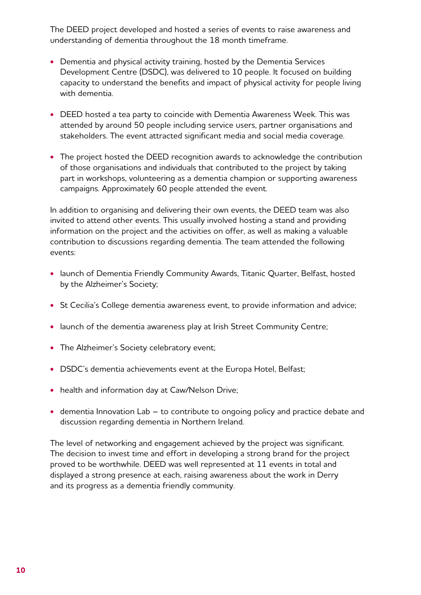The DEED project developed and hosted a series of events to raise awareness and understanding of dementia throughout the 18 month timeframe.

- **•** Dementia and physical activity training, hosted by the Dementia Services Development Centre (DSDC), was delivered to 10 people. It focused on building capacity to understand the benefits and impact of physical activity for people living with dementia.
- **•** DEED hosted a tea party to coincide with Dementia Awareness Week. This was attended by around 50 people including service users, partner organisations and stakeholders. The event attracted significant media and social media coverage.
- **•** The project hosted the DEED recognition awards to acknowledge the contribution of those organisations and individuals that contributed to the project by taking part in workshops, volunteering as a dementia champion or supporting awareness campaigns. Approximately 60 people attended the event.

In addition to organising and delivering their own events, the DEED team was also invited to attend other events. This usually involved hosting a stand and providing information on the project and the activities on offer, as well as making a valuable contribution to discussions regarding dementia. The team attended the following events:

- **•** launch of Dementia Friendly Community Awards, Titanic Quarter, Belfast, hosted by the Alzheimer's Society;
- **•** St Cecilia's College dementia awareness event, to provide information and advice;
- **•** launch of the dementia awareness play at Irish Street Community Centre;
- **•** The Alzheimer's Society celebratory event;
- **•** DSDC's dementia achievements event at the Europa Hotel, Belfast;
- **•** health and information day at Caw/Nelson Drive;
- **•** dementia Innovation Lab to contribute to ongoing policy and practice debate and discussion regarding dementia in Northern Ireland.

The level of networking and engagement achieved by the project was significant. The decision to invest time and effort in developing a strong brand for the project proved to be worthwhile. DEED was well represented at 11 events in total and displayed a strong presence at each, raising awareness about the work in Derry and its progress as a dementia friendly community.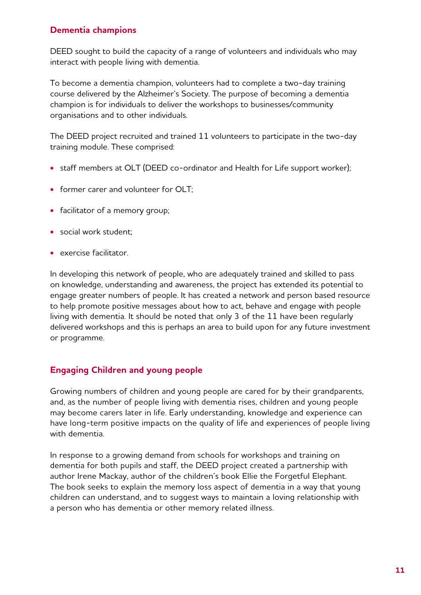# **Dementia champions**

DEED sought to build the capacity of a range of volunteers and individuals who may interact with people living with dementia.

To become a dementia champion, volunteers had to complete a two-day training course delivered by the Alzheimer's Society. The purpose of becoming a dementia champion is for individuals to deliver the workshops to businesses/community organisations and to other individuals.

The DEED project recruited and trained 11 volunteers to participate in the two-day training module. These comprised:

- **•** staff members at OLT (DEED co-ordinator and Health for Life support worker);
- **•** former carer and volunteer for OLT;
- **•** facilitator of a memory group;
- **•** social work student;
- **•** exercise facilitator.

In developing this network of people, who are adequately trained and skilled to pass on knowledge, understanding and awareness, the project has extended its potential to engage greater numbers of people. It has created a network and person based resource to help promote positive messages about how to act, behave and engage with people living with dementia. It should be noted that only 3 of the 11 have been regularly delivered workshops and this is perhaps an area to build upon for any future investment or programme.

# **Engaging Children and young people**

Growing numbers of children and young people are cared for by their grandparents, and, as the number of people living with dementia rises, children and young people may become carers later in life. Early understanding, knowledge and experience can have long-term positive impacts on the quality of life and experiences of people living with dementia.

In response to a growing demand from schools for workshops and training on dementia for both pupils and staff, the DEED project created a partnership with author Irene Mackay, author of the children's book Ellie the Forgetful Elephant. The book seeks to explain the memory loss aspect of dementia in a way that young children can understand, and to suggest ways to maintain a loving relationship with a person who has dementia or other memory related illness.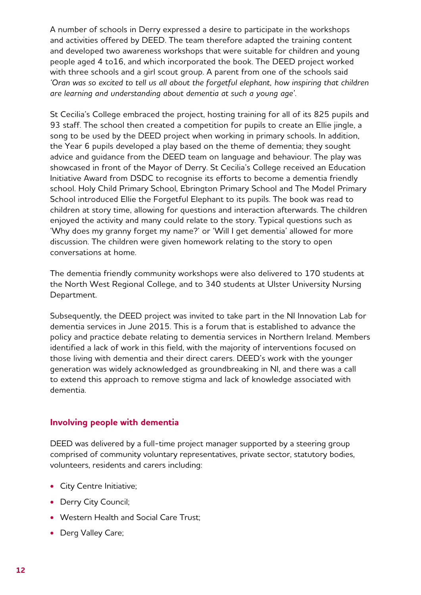A number of schools in Derry expressed a desire to participate in the workshops and activities offered by DEED. The team therefore adapted the training content and developed two awareness workshops that were suitable for children and young people aged 4 to16, and which incorporated the book. The DEED project worked with three schools and a girl scout group. A parent from one of the schools said *'Oran was so excited to tell us all about the forgetful elephant, how inspiring that children are learning and understanding about dementia at such a young age'.*

St Cecilia's College embraced the project, hosting training for all of its 825 pupils and 93 staff. The school then created a competition for pupils to create an Ellie jingle, a song to be used by the DEED project when working in primary schools. In addition, the Year 6 pupils developed a play based on the theme of dementia; they sought advice and guidance from the DEED team on language and behaviour. The play was showcased in front of the Mayor of Derry. St Cecilia's College received an Education Initiative Award from DSDC to recognise its efforts to become a dementia friendly school. Holy Child Primary School, Ebrington Primary School and The Model Primary School introduced Ellie the Forgetful Elephant to its pupils. The book was read to children at story time, allowing for questions and interaction afterwards. The children enjoyed the activity and many could relate to the story. Typical questions such as 'Why does my granny forget my name?' or 'Will I get dementia' allowed for more discussion. The children were given homework relating to the story to open conversations at home.

The dementia friendly community workshops were also delivered to 170 students at the North West Regional College, and to 340 students at Ulster University Nursing Department.

Subsequently, the DEED project was invited to take part in the NI Innovation Lab for dementia services in June 2015. This is a forum that is established to advance the policy and practice debate relating to dementia services in Northern Ireland. Members identified a lack of work in this field, with the majority of interventions focused on those living with dementia and their direct carers. DEED's work with the younger generation was widely acknowledged as groundbreaking in NI, and there was a call to extend this approach to remove stigma and lack of knowledge associated with dementia.

# **Involving people with dementia**

DEED was delivered by a full-time project manager supported by a steering group comprised of community voluntary representatives, private sector, statutory bodies, volunteers, residents and carers including:

- **•** City Centre Initiative;
- **•** Derry City Council;
- **•** Western Health and Social Care Trust;
- **•** Derg Valley Care;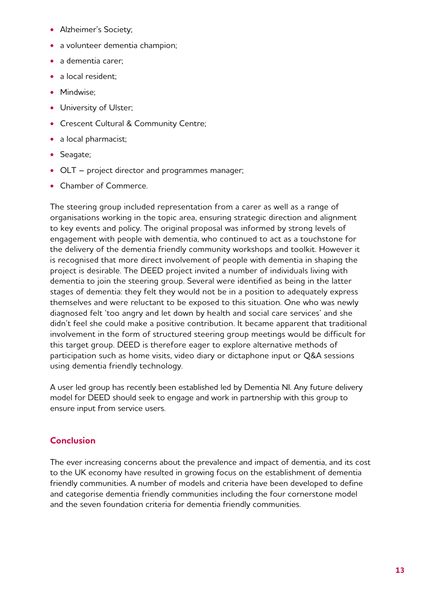- **•** Alzheimer's Society;
- **•** a volunteer dementia champion;
- **•** a dementia carer;
- **•** a local resident;
- **•** Mindwise;
- **•** University of Ulster;
- **•** Crescent Cultural & Community Centre;
- **•** a local pharmacist;
- **•** Seagate;
- **•** OLT project director and programmes manager;
- **•** Chamber of Commerce.

The steering group included representation from a carer as well as a range of organisations working in the topic area, ensuring strategic direction and alignment to key events and policy. The original proposal was informed by strong levels of engagement with people with dementia, who continued to act as a touchstone for the delivery of the dementia friendly community workshops and toolkit. However it is recognised that more direct involvement of people with dementia in shaping the project is desirable. The DEED project invited a number of individuals living with dementia to join the steering group. Several were identified as being in the latter stages of dementia: they felt they would not be in a position to adequately express themselves and were reluctant to be exposed to this situation. One who was newly diagnosed felt 'too angry and let down by health and social care services' and she didn't feel she could make a positive contribution. It became apparent that traditional involvement in the form of structured steering group meetings would be difficult for this target group. DEED is therefore eager to explore alternative methods of participation such as home visits, video diary or dictaphone input or Q&A sessions using dementia friendly technology.

A user led group has recently been established led by Dementia NI. Any future delivery model for DEED should seek to engage and work in partnership with this group to ensure input from service users.

# **Conclusion**

The ever increasing concerns about the prevalence and impact of dementia, and its cost to the UK economy have resulted in growing focus on the establishment of dementia friendly communities. A number of models and criteria have been developed to define and categorise dementia friendly communities including the four cornerstone model and the seven foundation criteria for dementia friendly communities.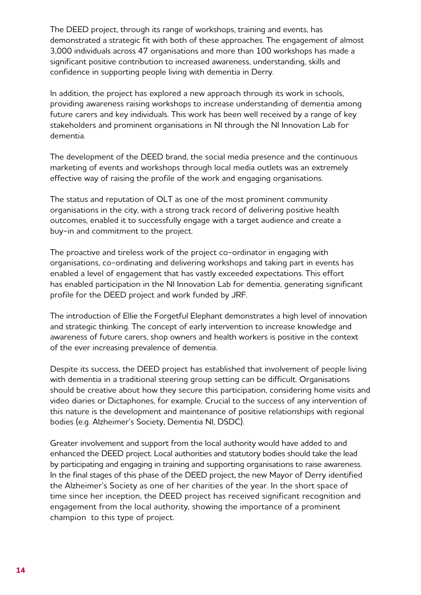The DEED project, through its range of workshops, training and events, has demonstrated a strategic fit with both of these approaches. The engagement of almost 3,000 individuals across 47 organisations and more than 100 workshops has made a significant positive contribution to increased awareness, understanding, skills and confidence in supporting people living with dementia in Derry.

In addition, the project has explored a new approach through its work in schools, providing awareness raising workshops to increase understanding of dementia among future carers and key individuals. This work has been well received by a range of key stakeholders and prominent organisations in NI through the NI Innovation Lab for dementia.

The development of the DEED brand, the social media presence and the continuous marketing of events and workshops through local media outlets was an extremely effective way of raising the profile of the work and engaging organisations.

The status and reputation of OLT as one of the most prominent community organisations in the city, with a strong track record of delivering positive health outcomes, enabled it to successfully engage with a target audience and create a buy-in and commitment to the project.

The proactive and tireless work of the project co-ordinator in engaging with organisations, co‑ordinating and delivering workshops and taking part in events has enabled a level of engagement that has vastly exceeded expectations. This effort has enabled participation in the NI Innovation Lab for dementia, generating significant profile for the DEED project and work funded by JRF.

The introduction of Ellie the Forgetful Elephant demonstrates a high level of innovation and strategic thinking. The concept of early intervention to increase knowledge and awareness of future carers, shop owners and health workers is positive in the context of the ever increasing prevalence of dementia.

Despite its success, the DEED project has established that involvement of people living with dementia in a traditional steering group setting can be difficult. Organisations should be creative about how they secure this participation, considering home visits and video diaries or Dictaphones, for example. Crucial to the success of any intervention of this nature is the development and maintenance of positive relationships with regional bodies (e.g. Alzheimer's Society, Dementia NI, DSDC).

Greater involvement and support from the local authority would have added to and enhanced the DEED project. Local authorities and statutory bodies should take the lead by participating and engaging in training and supporting organisations to raise awareness. In the final stages of this phase of the DEED project, the new Mayor of Derry identified the Alzheimer's Society as one of her charities of the year. In the short space of time since her inception, the DEED project has received significant recognition and engagement from the local authority, showing the importance of a prominent champion to this type of project.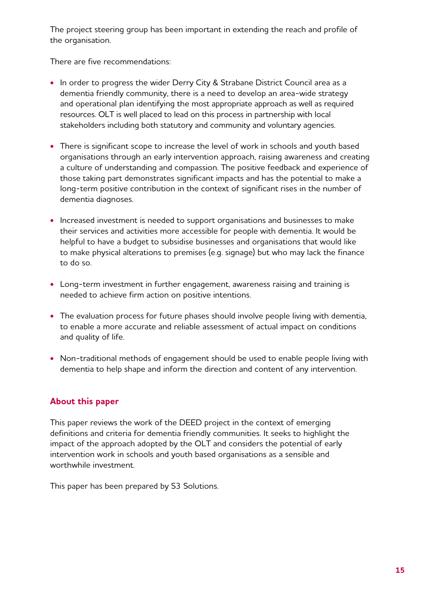The project steering group has been important in extending the reach and profile of the organisation.

There are five recommendations:

- **•** In order to progress the wider Derry City & Strabane District Council area as a dementia friendly community, there is a need to develop an area-wide strategy and operational plan identifying the most appropriate approach as well as required resources. OLT is well placed to lead on this process in partnership with local stakeholders including both statutory and community and voluntary agencies.
- **•** There is significant scope to increase the level of work in schools and youth based organisations through an early intervention approach, raising awareness and creating a culture of understanding and compassion. The positive feedback and experience of those taking part demonstrates significant impacts and has the potential to make a long-term positive contribution in the context of significant rises in the number of dementia diagnoses.
- **•** Increased investment is needed to support organisations and businesses to make their services and activities more accessible for people with dementia. It would be helpful to have a budget to subsidise businesses and organisations that would like to make physical alterations to premises (e.g. signage) but who may lack the finance to do so.
- **•** Long-term investment in further engagement, awareness raising and training is needed to achieve firm action on positive intentions.
- **•** The evaluation process for future phases should involve people living with dementia, to enable a more accurate and reliable assessment of actual impact on conditions and quality of life.
- **•** Non-traditional methods of engagement should be used to enable people living with dementia to help shape and inform the direction and content of any intervention.

# **About this paper**

This paper reviews the work of the DEED project in the context of emerging definitions and criteria for dementia friendly communities. It seeks to highlight the impact of the approach adopted by the OLT and considers the potential of early intervention work in schools and youth based organisations as a sensible and worthwhile investment.

This paper has been prepared by S3 Solutions.